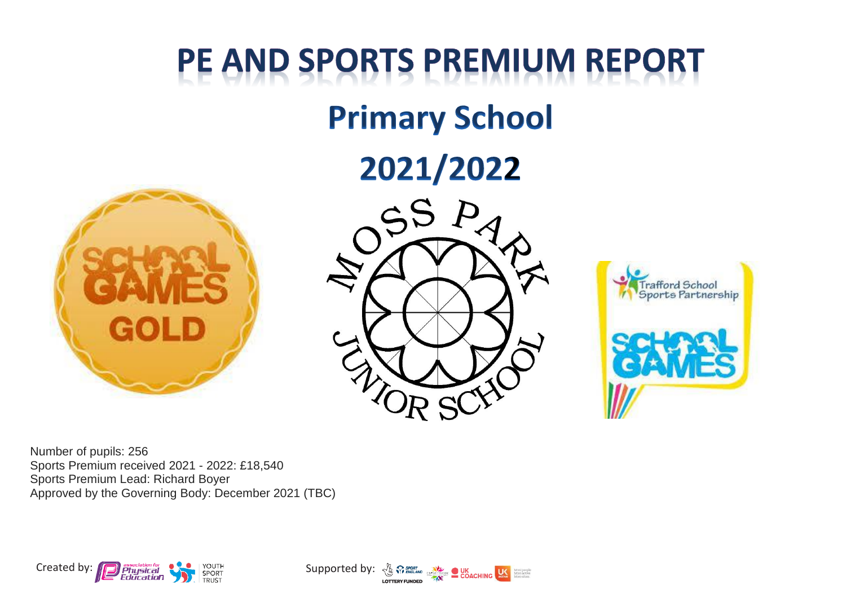## PE AND SPORTS PREMIUM REPORT

## **Primary School**

## 2021/2022







Number of pupils: 256 Sports Premium received 2021 - 2022: £18,540 Sports Premium Lead: Richard Boyer Approved by the Governing Body: December 2021 (TBC)



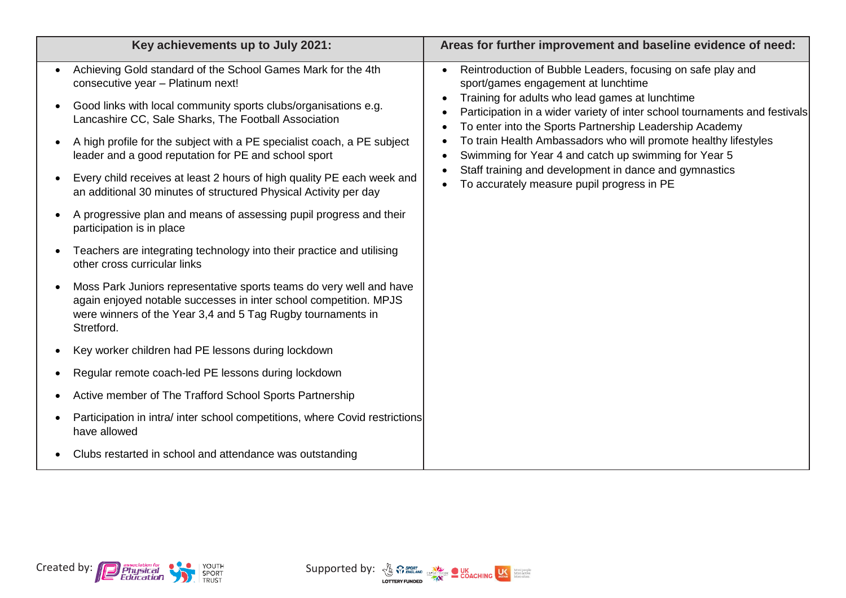|                                     | Key achievements up to July 2021:                                                                                                                                                                                                                                                                                                                                                                                                         | Areas for further improvement and baseline evidence of need:                                                                                                                                                                                                                                                                                                                                                                                                                                                                      |
|-------------------------------------|-------------------------------------------------------------------------------------------------------------------------------------------------------------------------------------------------------------------------------------------------------------------------------------------------------------------------------------------------------------------------------------------------------------------------------------------|-----------------------------------------------------------------------------------------------------------------------------------------------------------------------------------------------------------------------------------------------------------------------------------------------------------------------------------------------------------------------------------------------------------------------------------------------------------------------------------------------------------------------------------|
| $\bullet$<br>$\bullet$<br>$\bullet$ | Achieving Gold standard of the School Games Mark for the 4th<br>consecutive year - Platinum next!<br>Good links with local community sports clubs/organisations e.g.<br>Lancashire CC, Sale Sharks, The Football Association<br>A high profile for the subject with a PE specialist coach, a PE subject<br>leader and a good reputation for PE and school sport<br>Every child receives at least 2 hours of high quality PE each week and | Reintroduction of Bubble Leaders, focusing on safe play and<br>sport/games engagement at lunchtime<br>Training for adults who lead games at lunchtime<br>Participation in a wider variety of inter school tournaments and festivals<br>To enter into the Sports Partnership Leadership Academy<br>To train Health Ambassadors who will promote healthy lifestyles<br>Swimming for Year 4 and catch up swimming for Year 5<br>Staff training and development in dance and gymnastics<br>To accurately measure pupil progress in PE |
| $\bullet$                           | an additional 30 minutes of structured Physical Activity per day<br>A progressive plan and means of assessing pupil progress and their<br>participation is in place                                                                                                                                                                                                                                                                       |                                                                                                                                                                                                                                                                                                                                                                                                                                                                                                                                   |
|                                     | Teachers are integrating technology into their practice and utilising<br>other cross curricular links                                                                                                                                                                                                                                                                                                                                     |                                                                                                                                                                                                                                                                                                                                                                                                                                                                                                                                   |
| $\bullet$                           | Moss Park Juniors representative sports teams do very well and have<br>again enjoyed notable successes in inter school competition. MPJS<br>were winners of the Year 3,4 and 5 Tag Rugby tournaments in<br>Stretford.                                                                                                                                                                                                                     |                                                                                                                                                                                                                                                                                                                                                                                                                                                                                                                                   |
| $\bullet$                           | Key worker children had PE lessons during lockdown                                                                                                                                                                                                                                                                                                                                                                                        |                                                                                                                                                                                                                                                                                                                                                                                                                                                                                                                                   |
| $\bullet$                           | Regular remote coach-led PE lessons during lockdown                                                                                                                                                                                                                                                                                                                                                                                       |                                                                                                                                                                                                                                                                                                                                                                                                                                                                                                                                   |
| $\bullet$                           | Active member of The Trafford School Sports Partnership                                                                                                                                                                                                                                                                                                                                                                                   |                                                                                                                                                                                                                                                                                                                                                                                                                                                                                                                                   |
| $\bullet$                           | Participation in intra/ inter school competitions, where Covid restrictions<br>have allowed                                                                                                                                                                                                                                                                                                                                               |                                                                                                                                                                                                                                                                                                                                                                                                                                                                                                                                   |
|                                     | Clubs restarted in school and attendance was outstanding                                                                                                                                                                                                                                                                                                                                                                                  |                                                                                                                                                                                                                                                                                                                                                                                                                                                                                                                                   |



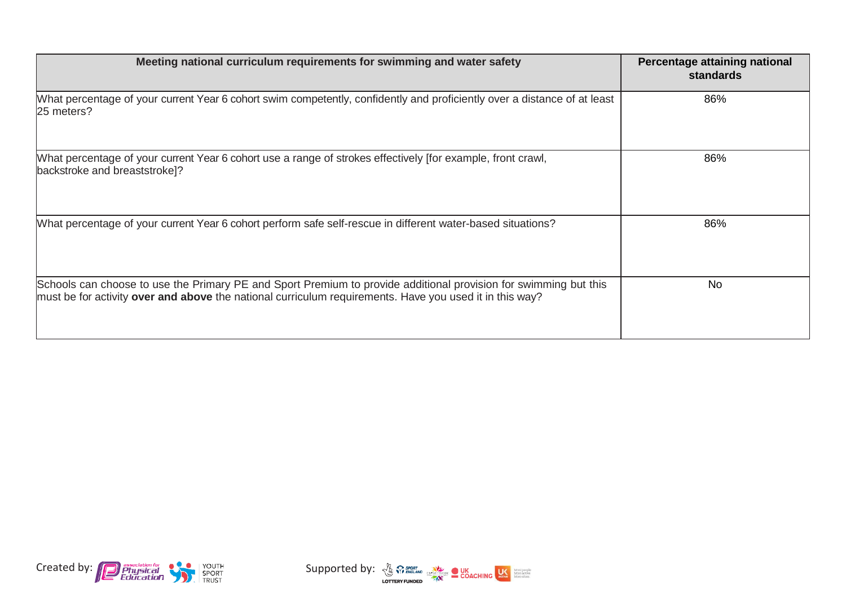| Meeting national curriculum requirements for swimming and water safety                                                                                                                                                             | Percentage attaining national<br><b>standards</b> |
|------------------------------------------------------------------------------------------------------------------------------------------------------------------------------------------------------------------------------------|---------------------------------------------------|
| What percentage of your current Year 6 cohort swim competently, confidently and proficiently over a distance of at least<br>25 meters?                                                                                             | 86%                                               |
| What percentage of your current Year 6 cohort use a range of strokes effectively [for example, front crawl,<br>backstroke and breaststroke]?                                                                                       | 86%                                               |
| What percentage of your current Year 6 cohort perform safe self-rescue in different water-based situations?                                                                                                                        | 86%                                               |
| Schools can choose to use the Primary PE and Sport Premium to provide additional provision for swimming but this<br>must be for activity <b>over and above</b> the national curriculum requirements. Have you used it in this way? | <b>No</b>                                         |



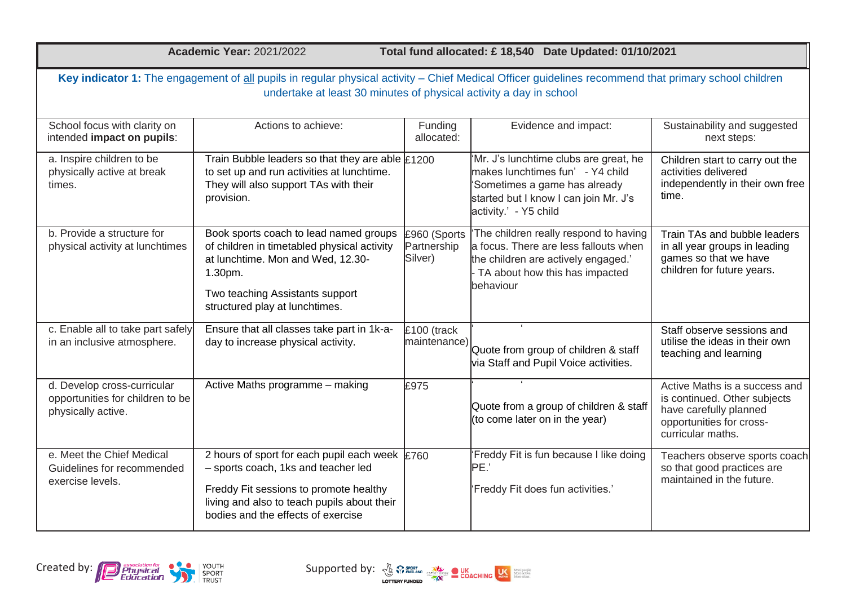| <b>Academic Year: 2021/2022</b> |  |
|---------------------------------|--|
|---------------------------------|--|

**Academic Year:** 2021/2022 **Total fund allocated: £ 18,540 Date Updated: 01/10/2021**

| Key indicator 1: The engagement of all pupils in regular physical activity - Chief Medical Officer guidelines recommend that primary school children<br>undertake at least 30 minutes of physical activity a day in school |                                                                                                                                                                                                                               |                                        |                                                                                                                                                                               |                                                                                                                                          |  |
|----------------------------------------------------------------------------------------------------------------------------------------------------------------------------------------------------------------------------|-------------------------------------------------------------------------------------------------------------------------------------------------------------------------------------------------------------------------------|----------------------------------------|-------------------------------------------------------------------------------------------------------------------------------------------------------------------------------|------------------------------------------------------------------------------------------------------------------------------------------|--|
| School focus with clarity on<br>intended impact on pupils:                                                                                                                                                                 | Actions to achieve:                                                                                                                                                                                                           | Funding<br>allocated:                  | Evidence and impact:                                                                                                                                                          | Sustainability and suggested<br>next steps:                                                                                              |  |
| a. Inspire children to be<br>physically active at break<br>times.                                                                                                                                                          | Train Bubble leaders so that they are able $\text{\pounds}1200$<br>to set up and run activities at lunchtime.<br>They will also support TAs with their<br>provision.                                                          |                                        | 'Mr. J's lunchtime clubs are great, he<br>makes lunchtimes fun' - Y4 child<br>'Sometimes a game has already<br>started but I know I can join Mr. J's<br>activity.' - Y5 child | Children start to carry out the<br>activities delivered<br>independently in their own free<br>time.                                      |  |
| b. Provide a structure for<br>physical activity at lunchtimes                                                                                                                                                              | Book sports coach to lead named groups<br>of children in timetabled physical activity<br>at lunchtime. Mon and Wed, 12.30-<br>1.30pm.<br>Two teaching Assistants support<br>structured play at lunchtimes.                    | £960 (Sports<br>Partnership<br>Silver) | The children really respond to having<br>a focus. There are less fallouts when<br>the children are actively engaged.'<br>TA about how this has impacted<br>behaviour          | Train TAs and bubble leaders<br>in all year groups in leading<br>games so that we have<br>children for future years.                     |  |
| c. Enable all to take part safely<br>in an inclusive atmosphere.                                                                                                                                                           | Ensure that all classes take part in 1k-a-<br>day to increase physical activity.                                                                                                                                              | £100 (track<br>maintenance)            | Quote from group of children & staff<br>via Staff and Pupil Voice activities.                                                                                                 | Staff observe sessions and<br>utilise the ideas in their own<br>teaching and learning                                                    |  |
| d. Develop cross-curricular<br>opportunities for children to be<br>physically active.                                                                                                                                      | Active Maths programme - making                                                                                                                                                                                               | £975                                   | Quote from a group of children & staff<br>(to come later on in the year)                                                                                                      | Active Maths is a success and<br>is continued. Other subjects<br>have carefully planned<br>opportunities for cross-<br>curricular maths. |  |
| e. Meet the Chief Medical<br>Guidelines for recommended<br>exercise levels.                                                                                                                                                | 2 hours of sport for each pupil each week $\sqrt{2760}$<br>- sports coach, 1ks and teacher led<br>Freddy Fit sessions to promote healthy<br>living and also to teach pupils about their<br>bodies and the effects of exercise |                                        | 'Freddy Fit is fun because I like doing<br>PE.'<br>'Freddy Fit does fun activities.'                                                                                          | Teachers observe sports coach<br>so that good practices are<br>maintained in the future.                                                 |  |



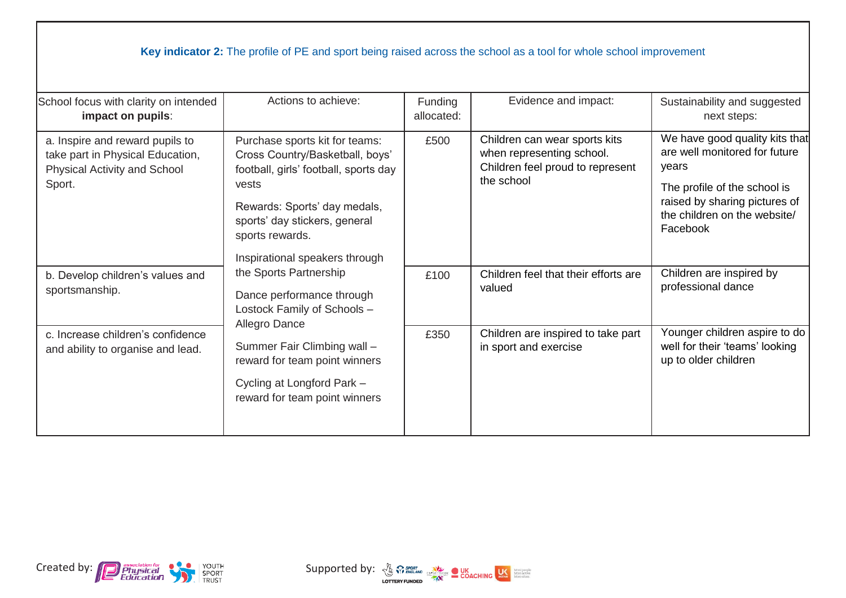## **Key indicator 2:** The profile of PE and sport being raised across the school as a tool for whole school improvement

| School focus with clarity on intended<br>impact on pupils:                                                    | Actions to achieve:                                                                                                                                                                                     | Funding<br>allocated: | Evidence and impact:                                                                                         | Sustainability and suggested<br>next steps:                                                                                                                                           |
|---------------------------------------------------------------------------------------------------------------|---------------------------------------------------------------------------------------------------------------------------------------------------------------------------------------------------------|-----------------------|--------------------------------------------------------------------------------------------------------------|---------------------------------------------------------------------------------------------------------------------------------------------------------------------------------------|
| a. Inspire and reward pupils to<br>take part in Physical Education,<br>Physical Activity and School<br>Sport. | Purchase sports kit for teams:<br>Cross Country/Basketball, boys'<br>football, girls' football, sports day<br>vests<br>Rewards: Sports' day medals,<br>sports' day stickers, general<br>sports rewards. | £500                  | Children can wear sports kits<br>when representing school.<br>Children feel proud to represent<br>the school | We have good quality kits that<br>are well monitored for future<br>years<br>The profile of the school is<br>raised by sharing pictures of<br>the children on the website/<br>Facebook |
| b. Develop children's values and<br>sportsmanship.                                                            | Inspirational speakers through<br>the Sports Partnership<br>Dance performance through<br>Lostock Family of Schools -<br>Allegro Dance                                                                   | £100                  | Children feel that their efforts are<br>valued                                                               | Children are inspired by<br>professional dance                                                                                                                                        |
| c. Increase children's confidence<br>and ability to organise and lead.                                        | Summer Fair Climbing wall -<br>reward for team point winners<br>Cycling at Longford Park -<br>reward for team point winners                                                                             | £350                  | Children are inspired to take part<br>in sport and exercise                                                  | Younger children aspire to do<br>well for their 'teams' looking<br>up to older children                                                                                               |



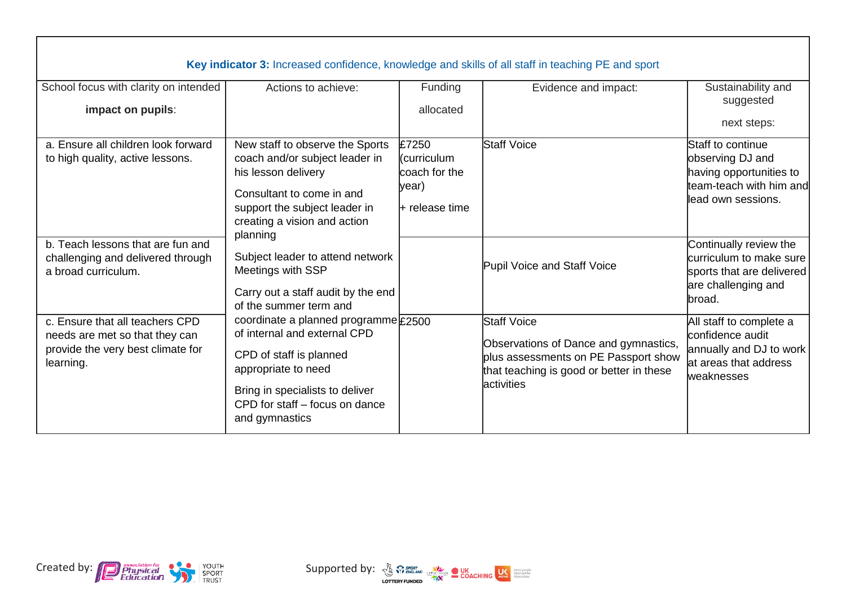| Key indicator 3: Increased confidence, knowledge and skills of all staff in teaching PE and sport                   |                                                                                                                                                                                                               |                                                                    |                                                                                                                                                                |                                                                                                                    |  |
|---------------------------------------------------------------------------------------------------------------------|---------------------------------------------------------------------------------------------------------------------------------------------------------------------------------------------------------------|--------------------------------------------------------------------|----------------------------------------------------------------------------------------------------------------------------------------------------------------|--------------------------------------------------------------------------------------------------------------------|--|
| School focus with clarity on intended<br>impact on pupils:                                                          | Actions to achieve:                                                                                                                                                                                           | Funding<br>allocated                                               | Evidence and impact:                                                                                                                                           | Sustainability and<br>suggested<br>next steps:                                                                     |  |
| a. Ensure all children look forward<br>to high quality, active lessons.                                             | New staff to observe the Sports<br>coach and/or subject leader in<br>his lesson delivery<br>Consultant to come in and<br>support the subject leader in<br>creating a vision and action<br>planning            | £7250<br>l(curriculum<br>coach for the<br>year)<br>I+ release time | Staff Voice                                                                                                                                                    | Staff to continue<br>observing DJ and<br>having opportunities to<br>team-teach with him and<br>llead own sessions. |  |
| b. Teach lessons that are fun and<br>challenging and delivered through<br>a broad curriculum.                       | Subject leader to attend network<br>Meetings with SSP<br>Carry out a staff audit by the end<br>of the summer term and                                                                                         |                                                                    | Pupil Voice and Staff Voice                                                                                                                                    | Continually review the<br>curriculum to make sure<br>sports that are delivered<br>are challenging and<br>lbroad.   |  |
| c. Ensure that all teachers CPD<br>needs are met so that they can<br>provide the very best climate for<br>learning. | coordinate a planned programme £2500<br>of internal and external CPD<br>CPD of staff is planned<br>appropriate to need<br>Bring in specialists to deliver<br>CPD for staff - focus on dance<br>and gymnastics |                                                                    | <b>Staff Voice</b><br>Observations of Dance and gymnastics,<br>plus assessments on PE Passport show<br>that teaching is good or better in these<br>lactivities | All staff to complete a<br>confidence audit<br>annually and DJ to work<br>lat areas that address<br>weaknesses     |  |



 $\mathbf{L}$ 

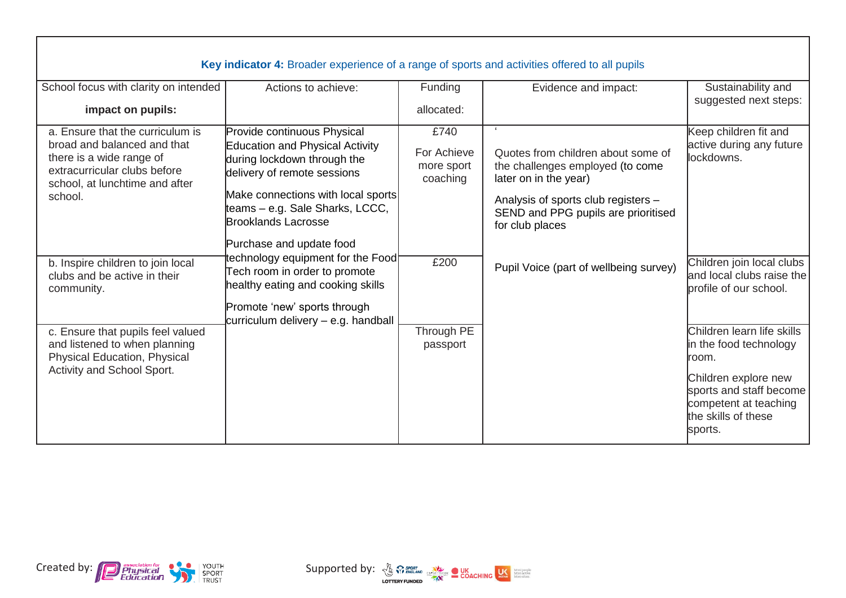|                                                                                                                                                               | Key indicator 4: Broader experience of a range of sports and activities offered to all pupils                                                                      |                                               |                                                                                                               |                                                                                                            |
|---------------------------------------------------------------------------------------------------------------------------------------------------------------|--------------------------------------------------------------------------------------------------------------------------------------------------------------------|-----------------------------------------------|---------------------------------------------------------------------------------------------------------------|------------------------------------------------------------------------------------------------------------|
| School focus with clarity on intended                                                                                                                         | Actions to achieve:                                                                                                                                                | Funding                                       | Evidence and impact:                                                                                          | Sustainability and                                                                                         |
| impact on pupils:                                                                                                                                             |                                                                                                                                                                    | allocated:                                    |                                                                                                               | suggested next steps:                                                                                      |
| a. Ensure that the curriculum is<br>broad and balanced and that<br>there is a wide range of<br>extracurricular clubs before<br>school, at lunchtime and after | Provide continuous Physical<br>Education and Physical Activity<br>during lockdown through the<br>delivery of remote sessions                                       | £740<br>For Achieve<br>more sport<br>coaching | $\epsilon$<br>Quotes from children about some of<br>the challenges employed (to come<br>later on in the year) | Keep children fit and<br>active during any future<br>lockdowns.                                            |
| school.                                                                                                                                                       | Make connections with local sports<br>teams - e.g. Sale Sharks, LCCC,<br><b>Brooklands Lacrosse</b>                                                                |                                               | Analysis of sports club registers -<br>SEND and PPG pupils are prioritised<br>for club places                 |                                                                                                            |
| b. Inspire children to join local<br>clubs and be active in their<br>community.                                                                               | Purchase and update food<br>echnology equipment for the Food<br>Tech room in order to promote<br>healthy eating and cooking skills<br>Promote 'new' sports through | £200                                          | Pupil Voice (part of wellbeing survey)                                                                        | Children join local clubs<br>and local clubs raise the<br>profile of our school.                           |
| c. Ensure that pupils feel valued<br>and listened to when planning<br>Physical Education, Physical                                                            | curriculum delivery - e.g. handball                                                                                                                                | Through PE<br>passport                        |                                                                                                               | Children learn life skills<br>in the food technology<br>room.                                              |
| Activity and School Sport.                                                                                                                                    |                                                                                                                                                                    |                                               |                                                                                                               | Children explore new<br>sports and staff become<br>competent at teaching<br>the skills of these<br>sports. |



 $\mathbf{I}$